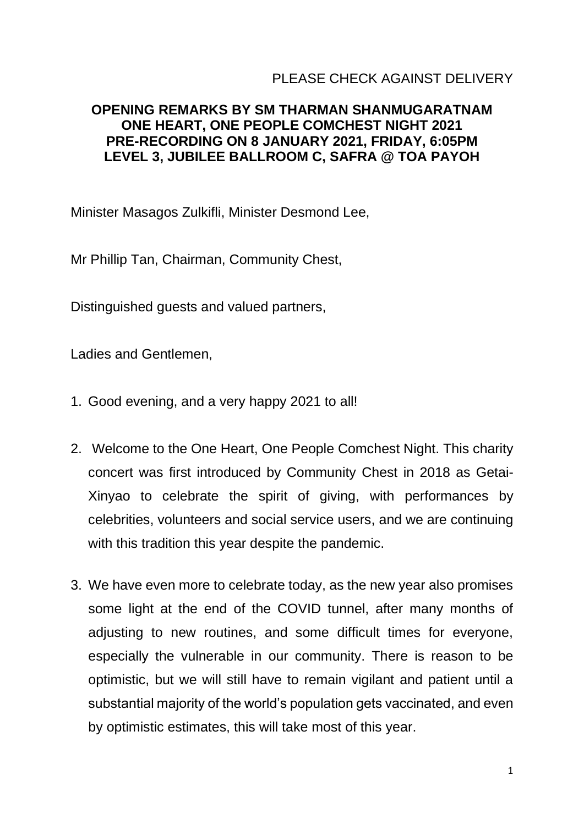## PLEASE CHECK AGAINST DELIVERY

## **OPENING REMARKS BY SM THARMAN SHANMUGARATNAM ONE HEART, ONE PEOPLE COMCHEST NIGHT 2021 PRE-RECORDING ON 8 JANUARY 2021, FRIDAY, 6:05PM LEVEL 3, JUBILEE BALLROOM C, SAFRA @ TOA PAYOH**

Minister Masagos Zulkifli, Minister Desmond Lee,

Mr Phillip Tan, Chairman, Community Chest,

Distinguished guests and valued partners,

Ladies and Gentlemen,

- 1. Good evening, and a very happy 2021 to all!
- 2. Welcome to the One Heart, One People Comchest Night. This charity concert was first introduced by Community Chest in 2018 as Getai-Xinyao to celebrate the spirit of giving, with performances by celebrities, volunteers and social service users, and we are continuing with this tradition this year despite the pandemic.
- 3. We have even more to celebrate today, as the new year also promises some light at the end of the COVID tunnel, after many months of adjusting to new routines, and some difficult times for everyone, especially the vulnerable in our community. There is reason to be optimistic, but we will still have to remain vigilant and patient until a substantial majority of the world's population gets vaccinated, and even by optimistic estimates, this will take most of this year.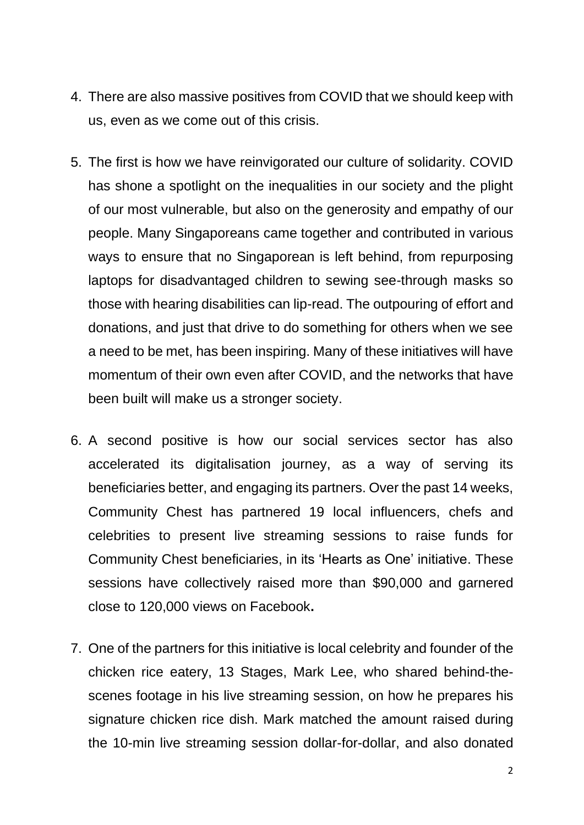- 4. There are also massive positives from COVID that we should keep with us, even as we come out of this crisis.
- 5. The first is how we have reinvigorated our culture of solidarity. COVID has shone a spotlight on the inequalities in our society and the plight of our most vulnerable, but also on the generosity and empathy of our people. Many Singaporeans came together and contributed in various ways to ensure that no Singaporean is left behind, from repurposing laptops for disadvantaged children to sewing see-through masks so those with hearing disabilities can lip-read. The outpouring of effort and donations, and just that drive to do something for others when we see a need to be met, has been inspiring. Many of these initiatives will have momentum of their own even after COVID, and the networks that have been built will make us a stronger society.
- 6. A second positive is how our social services sector has also accelerated its digitalisation journey, as a way of serving its beneficiaries better, and engaging its partners. Over the past 14 weeks, Community Chest has partnered 19 local influencers, chefs and celebrities to present live streaming sessions to raise funds for Community Chest beneficiaries, in its 'Hearts as One' initiative. These sessions have collectively raised more than \$90,000 and garnered close to 120,000 views on Facebook**.**
- 7. One of the partners for this initiative is local celebrity and founder of the chicken rice eatery, 13 Stages, Mark Lee, who shared behind-thescenes footage in his live streaming session, on how he prepares his signature chicken rice dish. Mark matched the amount raised during the 10-min live streaming session dollar-for-dollar, and also donated